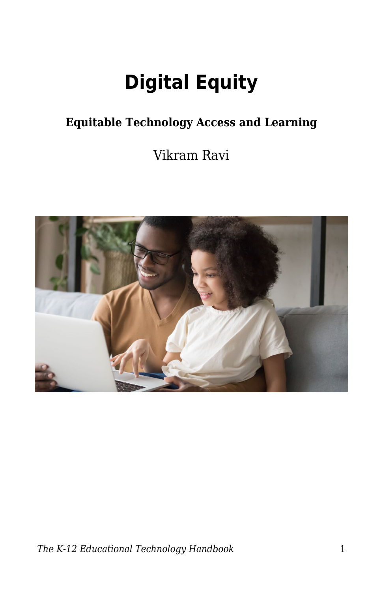# **Digital Equity**

### **Equitable Technology Access and Learning**

Vikram Ravi

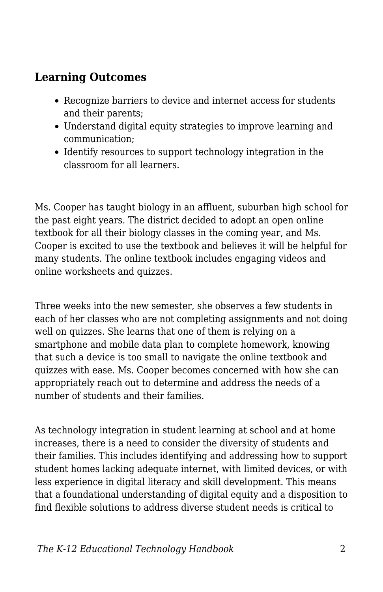### **Learning Outcomes**

- Recognize barriers to device and internet access for students and their parents;
- Understand digital equity strategies to improve learning and communication;
- Identify resources to support technology integration in the classroom for all learners.

Ms. Cooper has taught biology in an affluent, suburban high school for the past eight years. The district decided to adopt an open online textbook for all their biology classes in the coming year, and Ms. Cooper is excited to use the textbook and believes it will be helpful for many students. The online textbook includes engaging videos and online worksheets and quizzes.

Three weeks into the new semester, she observes a few students in each of her classes who are not completing assignments and not doing well on quizzes. She learns that one of them is relying on a smartphone and mobile data plan to complete homework, knowing that such a device is too small to navigate the online textbook and quizzes with ease. Ms. Cooper becomes concerned with how she can appropriately reach out to determine and address the needs of a number of students and their families.

As technology integration in student learning at school and at home increases, there is a need to consider the diversity of students and their families. This includes identifying and addressing how to support student homes lacking adequate internet, with limited devices, or with less experience in digital literacy and skill development. This means that a foundational understanding of digital equity and a disposition to find flexible solutions to address diverse student needs is critical to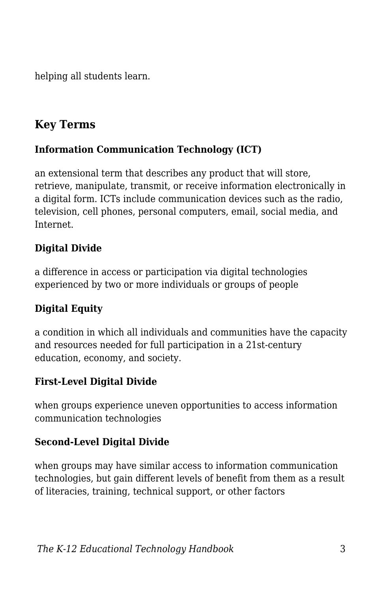helping all students learn.

### **Key Terms**

#### **Information Communication Technology (ICT)**

an extensional term that describes any product that will store, retrieve, manipulate, transmit, or receive information electronically in a digital form. ICTs include communication devices such as the radio, television, cell phones, personal computers, email, social media, and Internet.

#### **Digital Divide**

a difference in access or participation via digital technologies experienced by two or more individuals or groups of people

#### **Digital Equity**

a condition in which all individuals and communities have the capacity and resources needed for full participation in a 21st-century education, economy, and society.

#### **First-Level Digital Divide**

when groups experience uneven opportunities to access information communication technologies

#### **Second-Level Digital Divide**

when groups may have similar access to information communication technologies, but gain different levels of benefit from them as a result of literacies, training, technical support, or other factors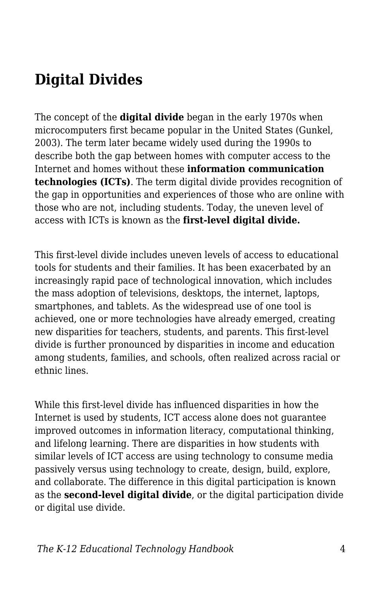# **Digital Divides**

The concept of the **digital divide** began in the early 1970s when microcomputers first became popular in the United States (Gunkel, 2003). The term later became widely used during the 1990s to describe both the gap between homes with computer access to the Internet and homes without these **information communication technologies (ICTs)**. The term digital divide provides recognition of the gap in opportunities and experiences of those who are online with those who are not, including students. Today, the uneven level of access with ICTs is known as the **first-level digital divide.**

This first-level divide includes uneven levels of access to educational tools for students and their families. It has been exacerbated by an increasingly rapid pace of technological innovation, which includes the mass adoption of televisions, desktops, the internet, laptops, smartphones, and tablets. As the widespread use of one tool is achieved, one or more technologies have already emerged, creating new disparities for teachers, students, and parents. This first-level divide is further pronounced by disparities in income and education among students, families, and schools, often realized across racial or ethnic lines.

While this first-level divide has influenced disparities in how the Internet is used by students, ICT access alone does not guarantee improved outcomes in information literacy, computational thinking, and lifelong learning. There are disparities in how students with similar levels of ICT access are using technology to consume media passively versus using technology to create, design, build, explore, and collaborate. The difference in this digital participation is known as the **second-level digital divide**, or the digital participation divide or digital use divide.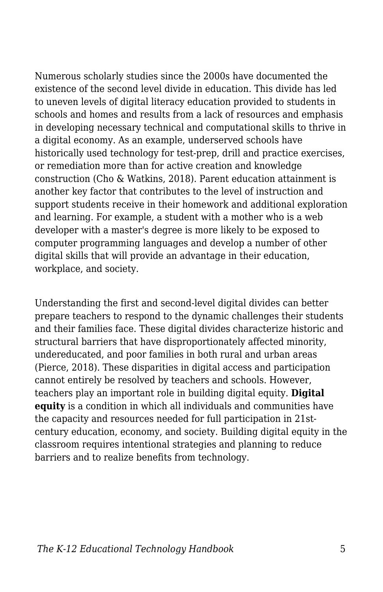Numerous scholarly studies since the 2000s have documented the existence of the second level divide in education. This divide has led to uneven levels of digital literacy education provided to students in schools and homes and results from a lack of resources and emphasis in developing necessary technical and computational skills to thrive in a digital economy. As an example, underserved schools have historically used technology for test-prep, drill and practice exercises, or remediation more than for active creation and knowledge construction (Cho & Watkins, 2018). Parent education attainment is another key factor that contributes to the level of instruction and support students receive in their homework and additional exploration and learning. For example, a student with a mother who is a web developer with a master's degree is more likely to be exposed to computer programming languages and develop a number of other digital skills that will provide an advantage in their education, workplace, and society.

Understanding the first and second-level digital divides can better prepare teachers to respond to the dynamic challenges their students and their families face. These digital divides characterize historic and structural barriers that have disproportionately affected minority, undereducated, and poor families in both rural and urban areas (Pierce, 2018). These disparities in digital access and participation cannot entirely be resolved by teachers and schools. However, teachers play an important role in building digital equity. **Digital equity** is a condition in which all individuals and communities have the capacity and resources needed for full participation in 21stcentury education, economy, and society. Building digital equity in the classroom requires intentional strategies and planning to reduce barriers and to realize benefits from technology.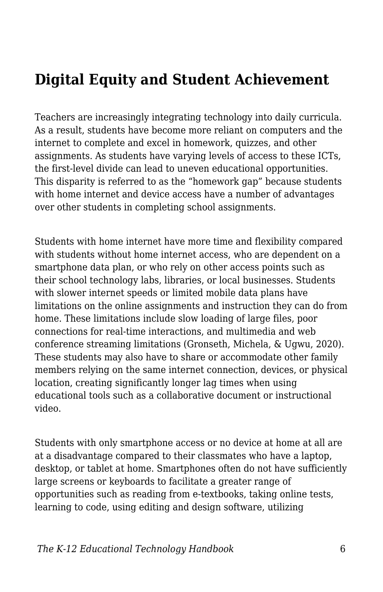# **Digital Equity and Student Achievement**

Teachers are increasingly integrating technology into daily curricula. As a result, students have become more reliant on computers and the internet to complete and excel in homework, quizzes, and other assignments. As students have varying levels of access to these ICTs, the first-level divide can lead to uneven educational opportunities. This disparity is referred to as the "homework gap" because students with home internet and device access have a number of advantages over other students in completing school assignments.

Students with home internet have more time and flexibility compared with students without home internet access, who are dependent on a smartphone data plan, or who rely on other access points such as their school technology labs, libraries, or local businesses. Students with slower internet speeds or limited mobile data plans have limitations on the online assignments and instruction they can do from home. These limitations include slow loading of large files, poor connections for real-time interactions, and multimedia and web conference streaming limitations (Gronseth, Michela, & Ugwu, 2020). These students may also have to share or accommodate other family members relying on the same internet connection, devices, or physical location, creating significantly longer lag times when using educational tools such as a collaborative document or instructional video.

Students with only smartphone access or no device at home at all are at a disadvantage compared to their classmates who have a laptop, desktop, or tablet at home. Smartphones often do not have sufficiently large screens or keyboards to facilitate a greater range of opportunities such as reading from e-textbooks, taking online tests, learning to code, using editing and design software, utilizing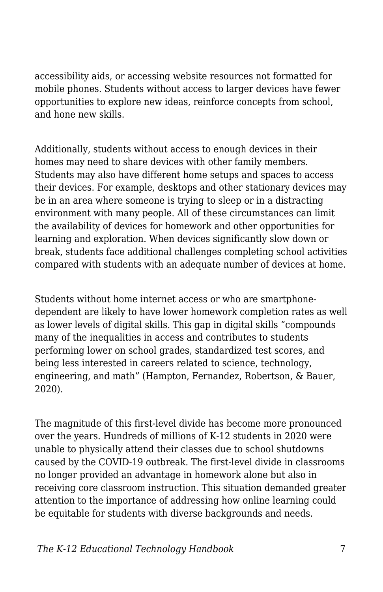accessibility aids, or accessing website resources not formatted for mobile phones. Students without access to larger devices have fewer opportunities to explore new ideas, reinforce concepts from school, and hone new skills.

Additionally, students without access to enough devices in their homes may need to share devices with other family members. Students may also have different home setups and spaces to access their devices. For example, desktops and other stationary devices may be in an area where someone is trying to sleep or in a distracting environment with many people. All of these circumstances can limit the availability of devices for homework and other opportunities for learning and exploration. When devices significantly slow down or break, students face additional challenges completing school activities compared with students with an adequate number of devices at home.

Students without home internet access or who are smartphonedependent are likely to have lower homework completion rates as well as lower levels of digital skills. This gap in digital skills "compounds many of the inequalities in access and contributes to students performing lower on school grades, standardized test scores, and being less interested in careers related to science, technology, engineering, and math" (Hampton, Fernandez, Robertson, & Bauer, 2020).

The magnitude of this first-level divide has become more pronounced over the years. Hundreds of millions of K-12 students in 2020 were unable to physically attend their classes due to school shutdowns caused by the COVID-19 outbreak. The first-level divide in classrooms no longer provided an advantage in homework alone but also in receiving core classroom instruction. This situation demanded greater attention to the importance of addressing how online learning could be equitable for students with diverse backgrounds and needs.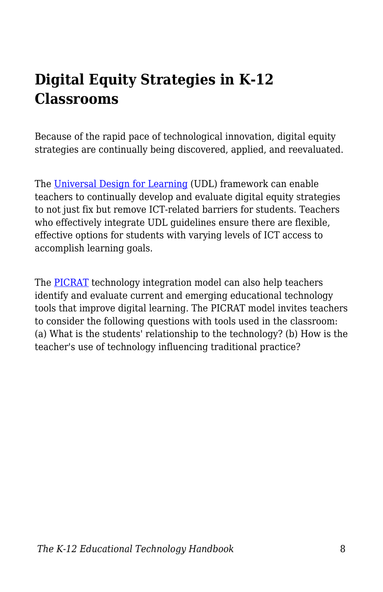# **Digital Equity Strategies in K-12 Classrooms**

Because of the rapid pace of technological innovation, digital equity strategies are continually being discovered, applied, and reevaluated.

The [Universal Design for Learning](https://edtechbooks.org/k12handbook/universal_design_for_learning) (UDL) framework can enable teachers to continually develop and evaluate digital equity strategies to not just fix but remove ICT-related barriers for students. Teachers who effectively integrate UDL guidelines ensure there are flexible, effective options for students with varying levels of ICT access to accomplish learning goals.

The [PICRAT](https://edtechbooks.org/k12handbook/technology_integration#h3_HRKd) technology integration model can also help teachers identify and evaluate current and emerging educational technology tools that improve digital learning. The PICRAT model invites teachers to consider the following questions with tools used in the classroom: (a) What is the students' relationship to the technology? (b) How is the teacher's use of technology influencing traditional practice?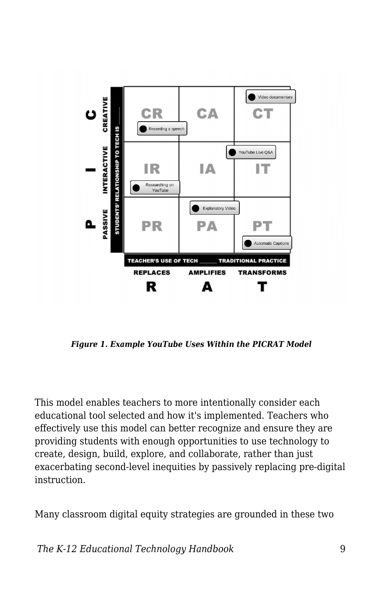

*Figure 1. Example YouTube Uses Within the PICRAT Model*

This model enables teachers to more intentionally consider each educational tool selected and how it's implemented. Teachers who effectively use this model can better recognize and ensure they are providing students with enough opportunities to use technology to create, design, build, explore, and collaborate, rather than just exacerbating second-level inequities by passively replacing pre-digital instruction.

Many classroom digital equity strategies are grounded in these two

*The K-12 Educational Technology Handbook* 9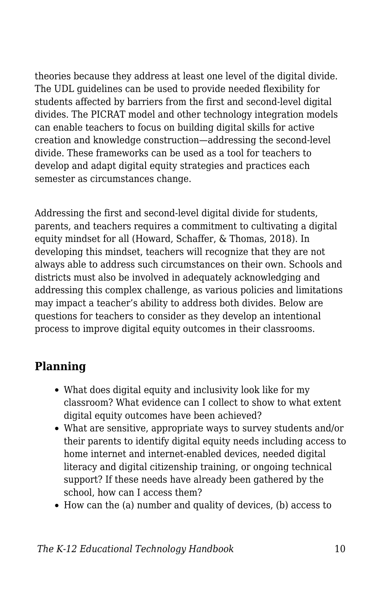theories because they address at least one level of the digital divide. The UDL guidelines can be used to provide needed flexibility for students affected by barriers from the first and second-level digital divides. The PICRAT model and other technology integration models can enable teachers to focus on building digital skills for active creation and knowledge construction—addressing the second-level divide. These frameworks can be used as a tool for teachers to develop and adapt digital equity strategies and practices each semester as circumstances change.

Addressing the first and second-level digital divide for students, parents, and teachers requires a commitment to cultivating a digital equity mindset for all (Howard, Schaffer, & Thomas, 2018). In developing this mindset, teachers will recognize that they are not always able to address such circumstances on their own. Schools and districts must also be involved in adequately acknowledging and addressing this complex challenge, as various policies and limitations may impact a teacher's ability to address both divides. Below are questions for teachers to consider as they develop an intentional process to improve digital equity outcomes in their classrooms.

### **Planning**

- What does digital equity and inclusivity look like for my classroom? What evidence can I collect to show to what extent digital equity outcomes have been achieved?
- What are sensitive, appropriate ways to survey students and/or their parents to identify digital equity needs including access to home internet and internet-enabled devices, needed digital literacy and digital citizenship training, or ongoing technical support? If these needs have already been gathered by the school, how can I access them?
- How can the (a) number and quality of devices, (b) access to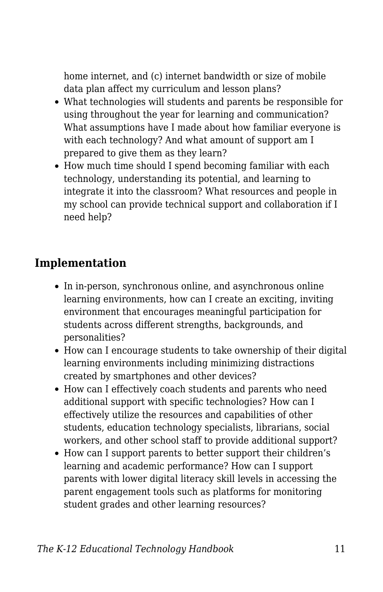home internet, and (c) internet bandwidth or size of mobile data plan affect my curriculum and lesson plans?

- What technologies will students and parents be responsible for using throughout the year for learning and communication? What assumptions have I made about how familiar everyone is with each technology? And what amount of support am I prepared to give them as they learn?
- How much time should I spend becoming familiar with each technology, understanding its potential, and learning to integrate it into the classroom? What resources and people in my school can provide technical support and collaboration if I need help?

#### **Implementation**

- In in-person, synchronous online, and asynchronous online learning environments, how can I create an exciting, inviting environment that encourages meaningful participation for students across different strengths, backgrounds, and personalities?
- How can I encourage students to take ownership of their digital learning environments including minimizing distractions created by smartphones and other devices?
- How can I effectively coach students and parents who need additional support with specific technologies? How can I effectively utilize the resources and capabilities of other students, education technology specialists, librarians, social workers, and other school staff to provide additional support?
- How can I support parents to better support their children's learning and academic performance? How can I support parents with lower digital literacy skill levels in accessing the parent engagement tools such as platforms for monitoring student grades and other learning resources?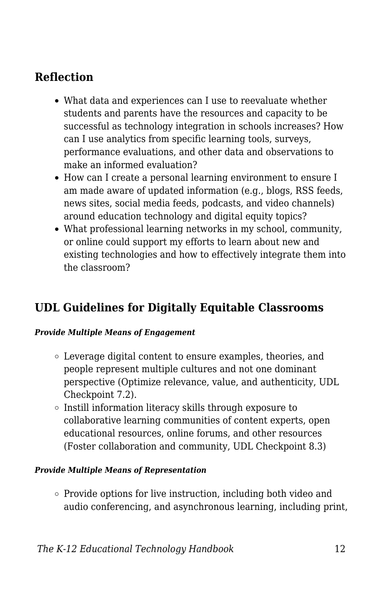### **Reflection**

- What data and experiences can I use to reevaluate whether students and parents have the resources and capacity to be successful as technology integration in schools increases? How can I use analytics from specific learning tools, surveys, performance evaluations, and other data and observations to make an informed evaluation?
- How can I create a personal learning environment to ensure I am made aware of updated information (e.g., blogs, RSS feeds, news sites, social media feeds, podcasts, and video channels) around education technology and digital equity topics?
- What professional learning networks in my school, community, or online could support my efforts to learn about new and existing technologies and how to effectively integrate them into the classroom?

### **UDL Guidelines for Digitally Equitable Classrooms**

#### *Provide Multiple Means of Engagement*

- Leverage digital content to ensure examples, theories, and people represent multiple cultures and not one dominant perspective (Optimize relevance, value, and authenticity, UDL Checkpoint 7.2).
- $\circ$  Instill information literacy skills through exposure to collaborative learning communities of content experts, open educational resources, online forums, and other resources (Foster collaboration and community, UDL Checkpoint 8.3)

#### *Provide Multiple Means of Representation*

 $\circ$  Provide options for live instruction, including both video and audio conferencing, and asynchronous learning, including print,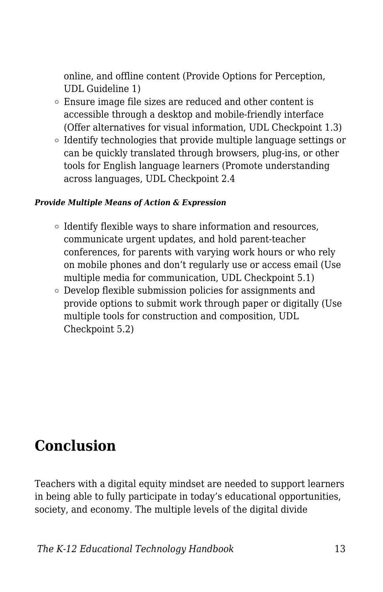online, and offline content (Provide Options for Perception, UDL Guideline 1)

- Ensure image file sizes are reduced and other content is accessible through a desktop and mobile-friendly interface (Offer alternatives for visual information, UDL Checkpoint 1.3)
- $\circ$  Identify technologies that provide multiple language settings or can be quickly translated through browsers, plug-ins, or other tools for English language learners (Promote understanding across languages, UDL Checkpoint 2.4

#### *Provide Multiple Means of Action & Expression*

- Identify flexible ways to share information and resources, communicate urgent updates, and hold parent-teacher conferences, for parents with varying work hours or who rely on mobile phones and don't regularly use or access email (Use multiple media for communication, UDL Checkpoint 5.1)
- Develop flexible submission policies for assignments and provide options to submit work through paper or digitally (Use multiple tools for construction and composition, UDL Checkpoint 5.2)

### **Conclusion**

Teachers with a digital equity mindset are needed to support learners in being able to fully participate in today's educational opportunities, society, and economy. The multiple levels of the digital divide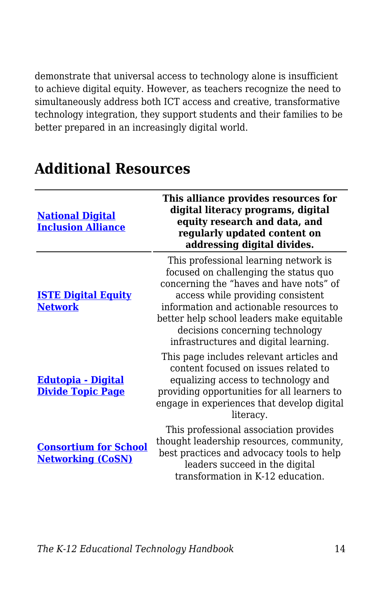demonstrate that universal access to technology alone is insufficient to achieve digital equity. However, as teachers recognize the need to simultaneously address both ICT access and creative, transformative technology integration, they support students and their families to be better prepared in an increasingly digital world.

| <b>National Digital</b><br><b>Inclusion Alliance</b>     | This alliance provides resources for<br>digital literacy programs, digital<br>equity research and data, and<br>regularly updated content on<br>addressing digital divides.                                                                                                                                                         |
|----------------------------------------------------------|------------------------------------------------------------------------------------------------------------------------------------------------------------------------------------------------------------------------------------------------------------------------------------------------------------------------------------|
| <b>ISTE Digital Equity</b><br><b>Network</b>             | This professional learning network is<br>focused on challenging the status quo<br>concerning the "haves and have nots" of<br>access while providing consistent<br>information and actionable resources to<br>better help school leaders make equitable<br>decisions concerning technology<br>infrastructures and digital learning. |
| <u> Edutopia - Digital</u><br><b>Divide Topic Page</b>   | This page includes relevant articles and<br>content focused on issues related to<br>equalizing access to technology and<br>providing opportunities for all learners to<br>engage in experiences that develop digital<br>literacy.                                                                                                  |
| <b>Consortium for School</b><br><b>Networking (CoSN)</b> | This professional association provides<br>thought leadership resources, community,<br>best practices and advocacy tools to help<br>leaders succeed in the digital<br>transformation in K-12 education.                                                                                                                             |

### **Additional Resources**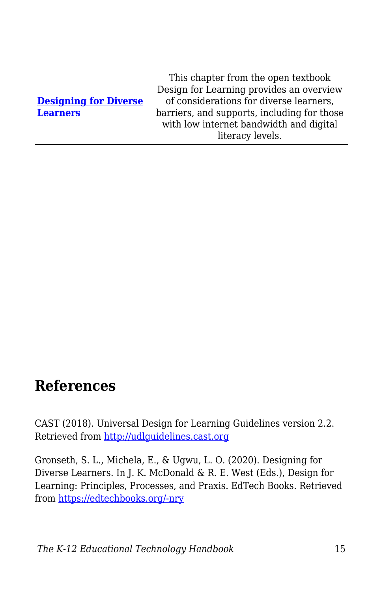#### **[Designing for Diverse](https://edtechbooks.org/id/designing_for_diverse_learners) [Learners](https://edtechbooks.org/id/designing_for_diverse_learners)**

This chapter from the open textbook Design for Learning provides an overview of considerations for diverse learners, barriers, and supports, including for those with low internet bandwidth and digital literacy levels.

### **References**

CAST (2018). Universal Design for Learning Guidelines version 2.2. Retrieved from <http://udlguidelines.cast.org>

Gronseth, S. L., Michela, E., & Ugwu, L. O. (2020). Designing for Diverse Learners. In J. K. McDonald & R. E. West (Eds.), Design for Learning: Principles, Processes, and Praxis. EdTech Books. Retrieved from [https://edtechbooks.org/-nry](https://edtechbooks.org/id/designing_for_diverse_learners)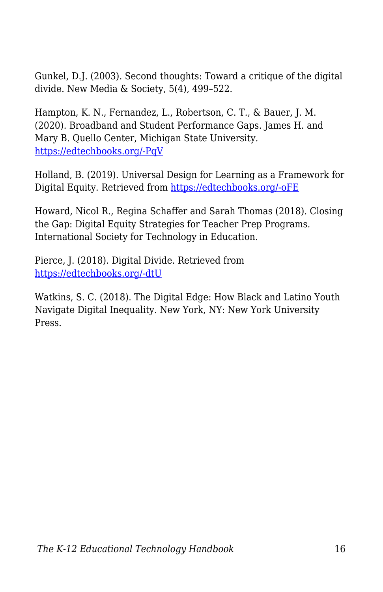Gunkel, D.J. (2003). Second thoughts: Toward a critique of the digital divide. New Media & Society, 5(4), 499–522.

Hampton, K. N., Fernandez, L., Robertson, C. T., & Bauer, J. M. (2020). Broadband and Student Performance Gaps. James H. and Mary B. Quello Center, Michigan State University. [https://edtechbooks.org/-PqV](https://doi.org/10.25335/BZGY-3V91)

Holland, B. (2019). Universal Design for Learning as a Framework for Digital Equity. Retrieved from [https://edtechbooks.org/-oFE](https://www.gettingsmart.com/2019/10/universal-design-for-learning-as-a-framework-for-digital-equity/)

Howard, Nicol R., Regina Schaffer and Sarah Thomas (2018). Closing the Gap: Digital Equity Strategies for Teacher Prep Programs. International Society for Technology in Education.

Pierce, J. (2018). Digital Divide. Retrieved from [https://edtechbooks.org/-dtU](https://doi.org/10.1002/9781118978238.ieml0052)

Watkins, S. C. (2018). The Digital Edge: How Black and Latino Youth Navigate Digital Inequality. New York, NY: New York University Press.